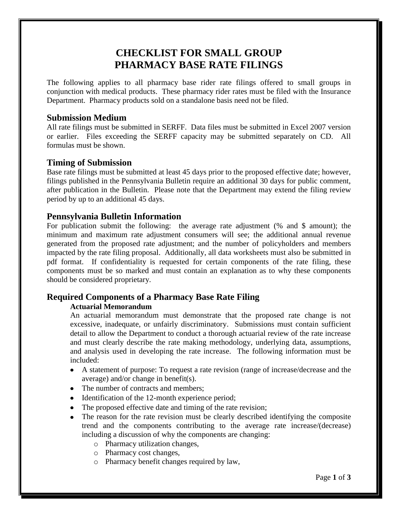# **CHECKLIST FOR SMALL GROUP PHARMACY BASE RATE FILINGS**

The following applies to all pharmacy base rider rate filings offered to small groups in conjunction with medical products. These pharmacy rider rates must be filed with the Insurance Department. Pharmacy products sold on a standalone basis need not be filed.

# **Submission Medium**

All rate filings must be submitted in SERFF. Data files must be submitted in Excel 2007 version or earlier. Files exceeding the SERFF capacity may be submitted separately on CD. All formulas must be shown.

## **Timing of Submission**

Base rate filings must be submitted at least 45 days prior to the proposed effective date; however, filings published in the Pennsylvania Bulletin require an additional 30 days for public comment, after publication in the Bulletin. Please note that the Department may extend the filing review period by up to an additional 45 days.

# **Pennsylvania Bulletin Information**

For publication submit the following: the average rate adjustment (% and \$ amount); the minimum and maximum rate adjustment consumers will see; the additional annual revenue generated from the proposed rate adjustment; and the number of policyholders and members impacted by the rate filing proposal. Additionally, all data worksheets must also be submitted in pdf format. If confidentiality is requested for certain components of the rate filing, these components must be so marked and must contain an explanation as to why these components should be considered proprietary.

# **Required Components of a Pharmacy Base Rate Filing**

## **Actuarial Memorandum**

An actuarial memorandum must demonstrate that the proposed rate change is not excessive, inadequate, or unfairly discriminatory. Submissions must contain sufficient detail to allow the Department to conduct a thorough actuarial review of the rate increase and must clearly describe the rate making methodology, underlying data, assumptions, and analysis used in developing the rate increase. The following information must be included:

- A statement of purpose: To request a rate revision (range of increase/decrease and the average) and/or change in benefit(s).
- The number of contracts and members;
- Identification of the 12-month experience period;
- The proposed effective date and timing of the rate revision;
- The reason for the rate revision must be clearly described identifying the composite trend and the components contributing to the average rate increase/(decrease) including a discussion of why the components are changing:
	- o Pharmacy utilization changes,
	- o Pharmacy cost changes,
	- o Pharmacy benefit changes required by law,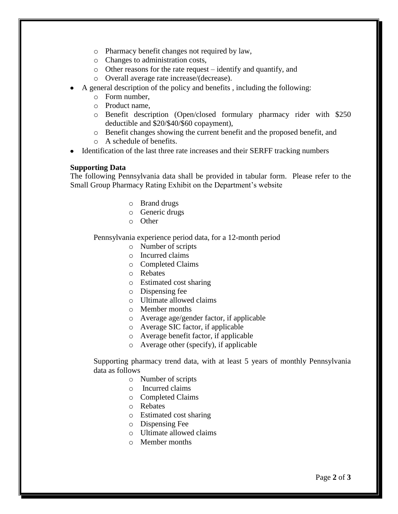- o Pharmacy benefit changes not required by law,
- o Changes to administration costs,
- o Other reasons for the rate request identify and quantify, and
- o Overall average rate increase/(decrease).
- A general description of the policy and benefits , including the following:
	- o Form number,
	- o Product name,
	- o Benefit description (Open/closed formulary pharmacy rider with \$250 deductible and \$20/\$40/\$60 copayment),
	- o Benefit changes showing the current benefit and the proposed benefit, and
	- o A schedule of benefits.
- Identification of the last three rate increases and their SERFF tracking numbers

#### **Supporting Data**

The following Pennsylvania data shall be provided in tabular form. Please refer to the Small Group Pharmacy Rating Exhibit on the Department's website

- o Brand drugs
- o Generic drugs
- o Other

Pennsylvania experience period data, for a 12-month period

- o Number of scripts
- o Incurred claims
- o Completed Claims
- o Rebates
- o Estimated cost sharing
- o Dispensing fee
- o Ultimate allowed claims
- o Member months
- o Average age/gender factor, if applicable
- o Average SIC factor, if applicable
- o Average benefit factor, if applicable
- o Average other (specify), if applicable

Supporting pharmacy trend data, with at least 5 years of monthly Pennsylvania data as follows

- o Number of scripts
- o Incurred claims
- o Completed Claims
- o Rebates
- o Estimated cost sharing
- o Dispensing Fee
- o Ultimate allowed claims
- o Member months